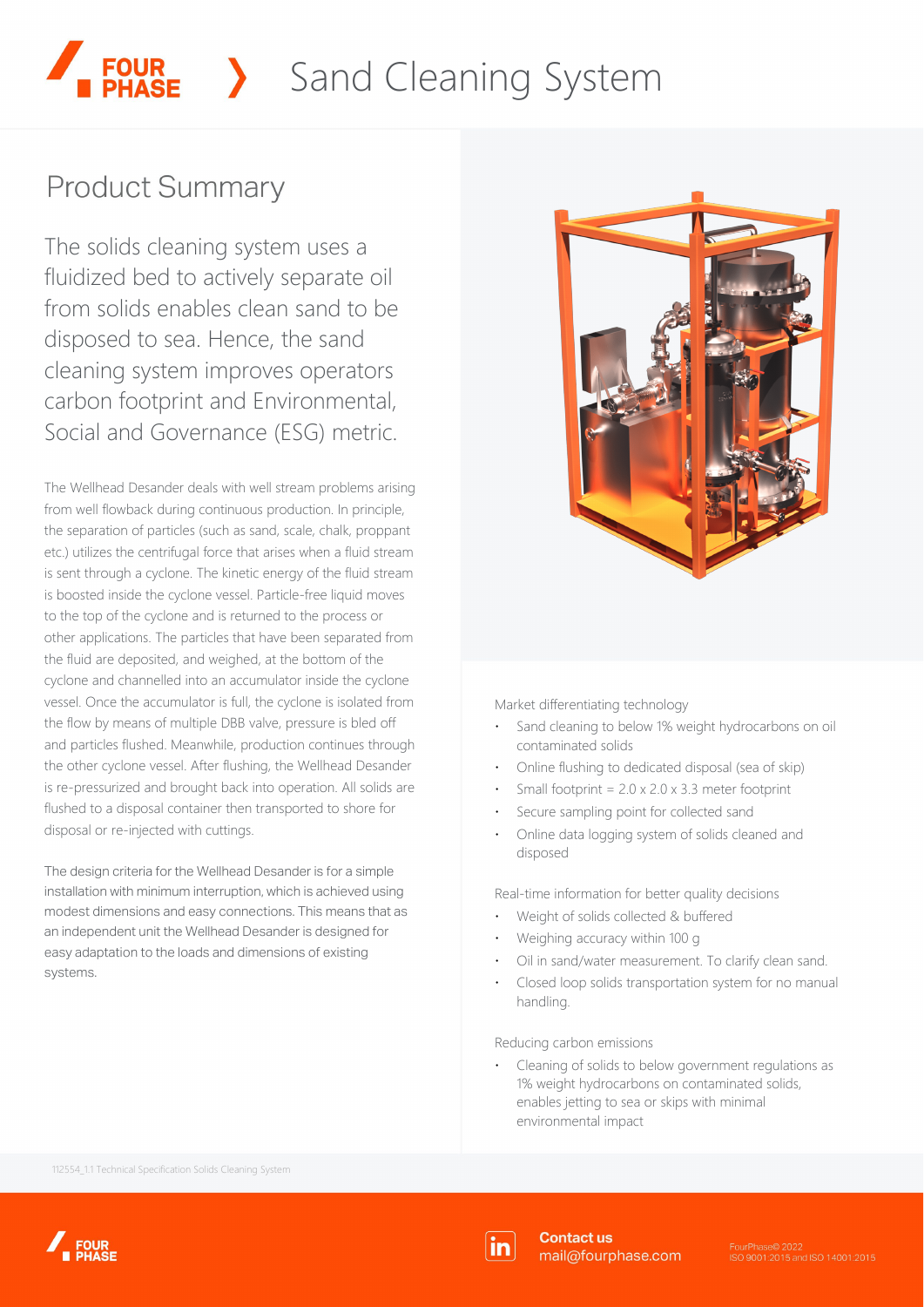# Sand Cleaning System

# **Product Summary**

The solids cleaning system uses a fluidized bed to actively separate oil from solids enables clean sand to be disposed to sea. Hence, the sand cleaning system improves operators carbon footprint and Environmental, Social and Governance (ESG) metric.

The Wellhead Desander deals with well stream problems arising from well flowback during continuous production. In principle, the separation of particles (such as sand, scale, chalk, proppant etc.) utilizes the centrifugal force that arises when a fluid stream is sent through a cyclone. The kinetic energy of the fluid stream is boosted inside the cyclone vessel. Particle-free liquid moves to the top of the cyclone and is returned to the process or other applications. The particles that have been separated from the fluid are deposited, and weighed, at the bottom of the cyclone and channelled into an accumulator inside the cyclone vessel. Once the accumulator is full, the cyclone is isolated from the flow by means of multiple DBB valve, pressure is bled off and particles flushed. Meanwhile, production continues through the other cyclone vessel. After flushing, the Wellhead Desander is re-pressurized and brought back into operation. All solids are flushed to a disposal container then transported to shore for disposal or re-injected with cuttings.

The design criteria for the Wellhead Desander is for a simple installation with minimum interruption, which is achieved using modest dimensions and easy connections. This means that as an independent unit the Wellhead Desander is designed for easy adaptation to the loads and dimensions of existing systems.



Market differentiating technology

- Sand cleaning to below 1% weight hydrocarbons on oil contaminated solids
- Online flushing to dedicated disposal (sea of skip)
- Small footprint =  $2.0 \times 2.0 \times 3.3$  meter footprint
- Secure sampling point for collected sand
- Online data logging system of solids cleaned and disposed

Real-time information for better quality decisions

- Weight of solids collected & buffered
- Weighing accuracy within 100 g
- Oil in sand/water measurement. To clarify clean sand.
- Closed loop solids transportation system for no manual handling.

Reducing carbon emissions

Cleaning of solids to below government regulations as 1% weight hydrocarbons on contaminated solids, enables jetting to sea or skips with minimal environmental impact